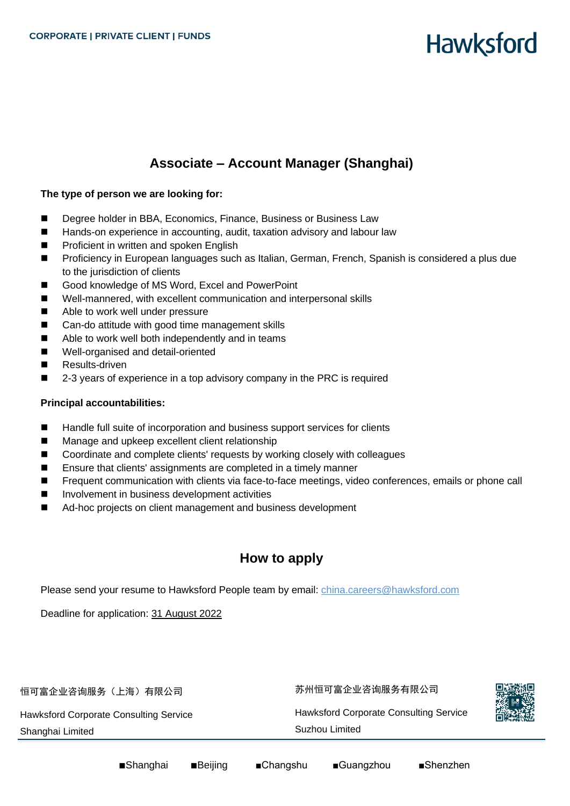# **Hawksford**

## **Associate – Account Manager (Shanghai)**

#### **The type of person we are looking for:**

- Degree holder in BBA, Economics, Finance, Business or Business Law
- Hands-on experience in accounting, audit, taxation advisory and labour law
- Proficient in written and spoken English
- Proficiency in European languages such as Italian, German, French, Spanish is considered a plus due to the jurisdiction of clients
- Good knowledge of MS Word, Excel and PowerPoint
- Well-mannered, with excellent communication and interpersonal skills
- Able to work well under pressure
- Can-do attitude with good time management skills
- Able to work well both independently and in teams
- Well-organised and detail-oriented
- Results-driven
- 2-3 years of experience in a top advisory company in the PRC is required

#### **Principal accountabilities:**

- Handle full suite of incorporation and business support services for clients
- Manage and upkeep excellent client relationship
- Coordinate and complete clients' requests by working closely with colleagues
- Ensure that clients' assignments are completed in a timely manner
- Frequent communication with clients via face-to-face meetings, video conferences, emails or phone call
- Involvement in business development activities
- Ad-hoc projects on client management and business development

## **How to apply**

Please send your resume to Hawksford People team by email: [china.careers@hawksford.com](mailto:china.careers@hawksford.com)

Deadline for application: 31 August 2022

恒可富企业咨询服务(上海)有限公司

Hawksford Corporate Consulting Service

Shanghai Limited

苏州恒可富企业咨询服务有限公司 Hawksford Corporate Consulting Service Suzhou Limited